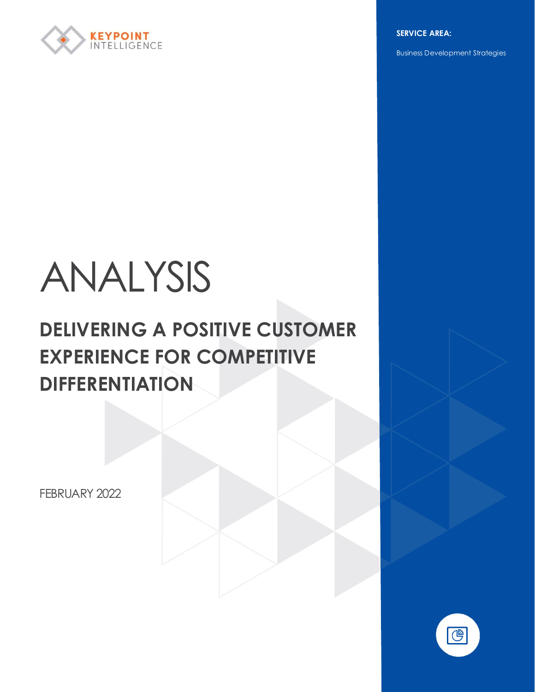

**SERVICE AREA:**

Business Development Strategies

# ANALYSIS

# **DELIVERING A POSITIVE CUSTOMER EXPERIENCE FOR COMPETITIVE DIFFERENTIATION**

FEBRUARY 2022

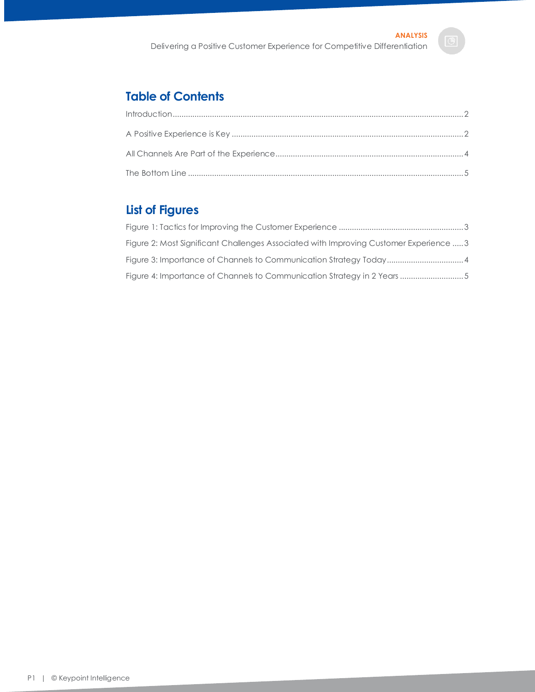### **Table of Contents**

## **List of Figures**

| Figure 2: Most Significant Challenges Associated with Improving Customer Experience  3 |
|----------------------------------------------------------------------------------------|
|                                                                                        |
|                                                                                        |

P1 | © Keypoint Intelligence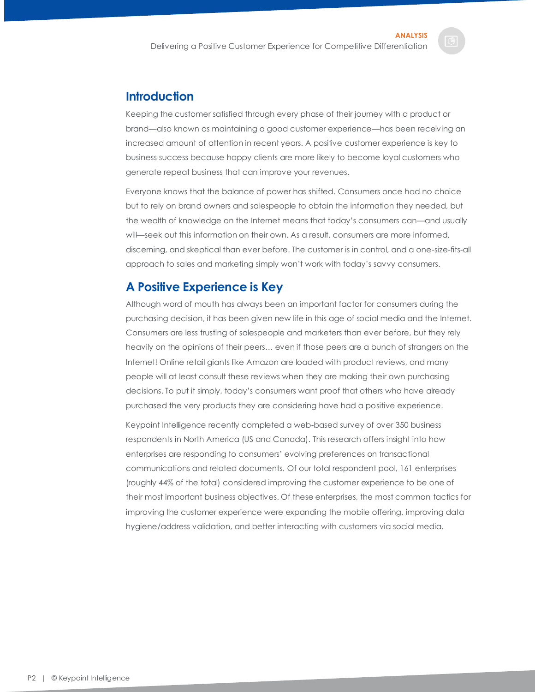#### <span id="page-2-0"></span>**Introduction**

Keeping the customer satisfied through every phase of their journey with a product or brand—also known as maintaining a good customer experience—has been receiving an increased amount of attention in recent years. A positive customer experience is key to business success because happy clients are more likely to become loyal customers who generate repeat business that can improve your revenues.

Everyone knows that the balance of power has shifted. Consumers once had no choice but to rely on brand owners and salespeople to obtain the information they needed, but the wealth of knowledge on the Internet means that today's consumers can—and usually will—seek out this information on their own. As a result, consumers are more informed, discerning, and skeptical than ever before. The customer is in control, and a one-size-fits-all approach to sales and marketing simply won't work with today's savvy consumers.

#### <span id="page-2-1"></span>**A Positive Experience is Key**

Although word of mouth has always been an important factor for consumers during the purchasing decision, it has been given new life in this age of social media and the Internet. Consumers are less trusting of salespeople and marketers than ever before, but they rely heavily on the opinions of their peers… even if those peers are a bunch of strangers on the Internet! Online retail giants like Amazon are loaded with product reviews, and many people will at least consult these reviews when they are making their own purchasing decisions. To put it simply, today's consumers want proof that others who have already purchased the very products they are considering have had a positive experience.

Keypoint Intelligence recently completed a web-based survey of over 350 business respondents in North America (US and Canada). This research offers insight into how enterprises are responding to consumers' evolving preferences on transactional communications and related documents. Of our total respondent pool, 161 enterprises (roughly 44% of the total) considered improving the customer experience to be one of their most important business objectives. Of these enterprises, the most common tactics for improving the customer experience were expanding the mobile offering, improving data hygiene/address validation, and better interacting with customers via social media.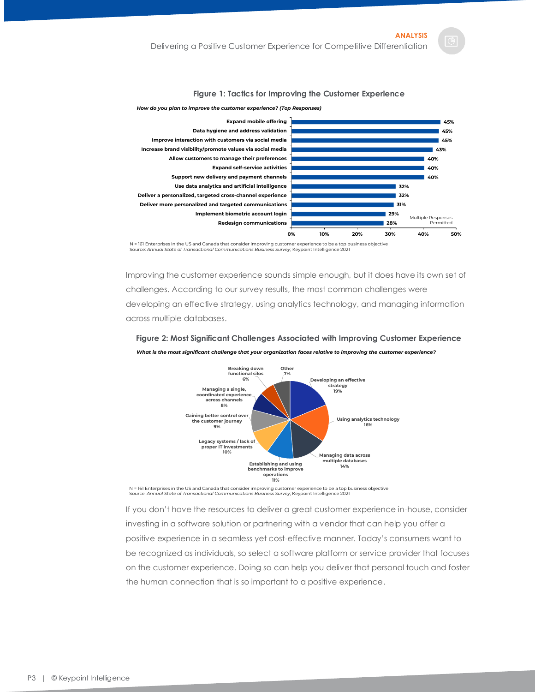#### **Figure 1: Tactics for Improving the Customer Experience**



<span id="page-3-0"></span>*How do you plan to improve the customer experience? (Top Responses)*

N = 161 Enterprises in the US and Canada that consider improving customer experience to be a top business objective<br>Source: *Annual State of Transactional Communications Business Survey*; Keypoint Intelligence 2021

Improving the customer experience sounds simple enough, but it does have its own set of challenges. According to our survey results, the most common challenges were developing an effective strategy, using analytics technology, and managing information across multiple databases.

<span id="page-3-1"></span>**Figure 2: Most Significant Challenges Associated with Improving Customer Experience**



*What is the most significant challenge that your organization faces relative to improving the customer experience?*

N = 161 Enterprises in the US and Canada that consider improving customer experience to be a top business objective<br>Source: *Annual State of Transactional Communications Business Survey*; Keypoint Intelligence 2021

If you don't have the resources to deliver a great customer experience in-house, consider investing in a software solution or partnering with a vendor that can help you offer a positive experience in a seamless yet cost-effective manner. Today's consumers want to be recognized as individuals, so select a software platform or service provider that focuses on the customer experience. Doing so can help you deliver that personal touch and foster the human connection that is so important to a positive experience.

P3 | © Keypoint Intelligence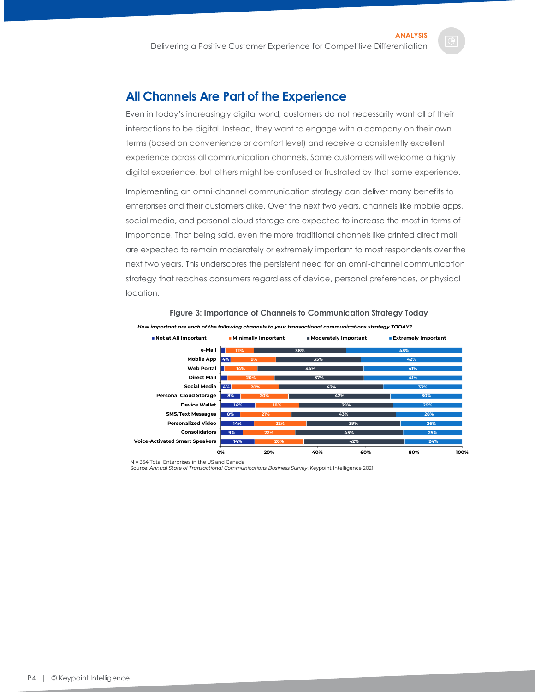#### <span id="page-4-0"></span>**All Channels Are Part of the Experience**

Even in today's increasingly digital world, customers do not necessarily want all of their interactions to be digital. Instead, they want to engage with a company on their own terms (based on convenience or comfort level) and receive a consistently excellent experience across all communication channels. Some customers will welcome a highly digital experience, but others might be confused or frustrated by that same experience.

Implementing an omni-channel communication strategy can deliver many benefits to enterprises and their customers alike. Over the next two years, channels like mobile apps, social media, and personal cloud storage are expected to increase the most in terms of importance. That being said, even the more traditional channels like printed direct mail are expected to remain moderately or extremely important to most respondents over the next two years. This underscores the persistent need for an omni-channel communication strategy that reaches consumers regardless of device, personal preferences, or physical location.

<span id="page-4-1"></span>



N = 364 Total Enterprises in the US and Canada

Source: *Annual State of Transactional Communications Business Survey*; Keypoint Intelligence 2021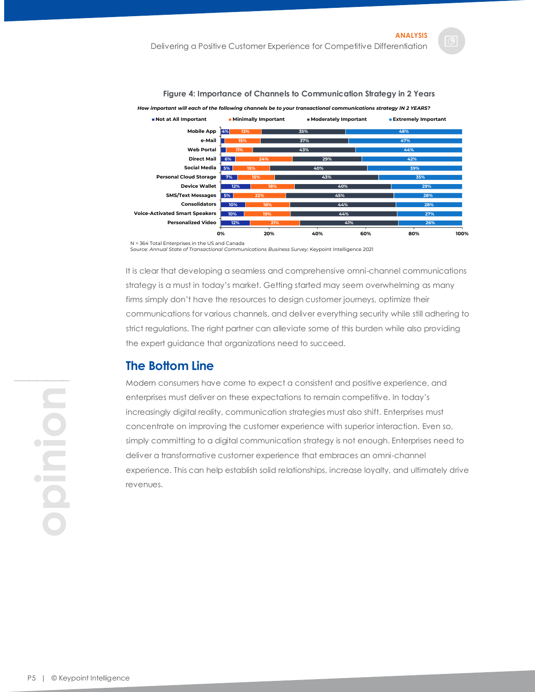<span id="page-5-1"></span>

**Figure 4: Importance of Channels to Communication Strategy in 2 Years**

Source: *Annual State of Transactional Communications Business Survey*; Keypoint Intelligence 2021

It is clear that developing a seamless and comprehensive omni-channel communications strategy is a must in today's market. Getting started may seem overwhelming as many firms simply don't have the resources to design customer journeys, optimize their communications for various channels, and deliver everything security while still adhering to strict regulations. The right partner can alleviate some of this burden while also providing the expert guidance that organizations need to succeed.

#### <span id="page-5-0"></span>**The Bottom Line**

Modern consumers have come to expect a consistent and positive experience, and enterprises must deliver on these expectations to remain competitive. In today's increasingly digital reality, communication strategies must also shift. Enterprises must concentrate on improving the customer experience with superior interaction. Even so, simply committing to a digital communication strategy is not enough. Enterprises need to deliver a transformative customer experience that embraces an omni-channel experience. This can help establish solid relationships, increase loyalty, and ultimately drive revenues.